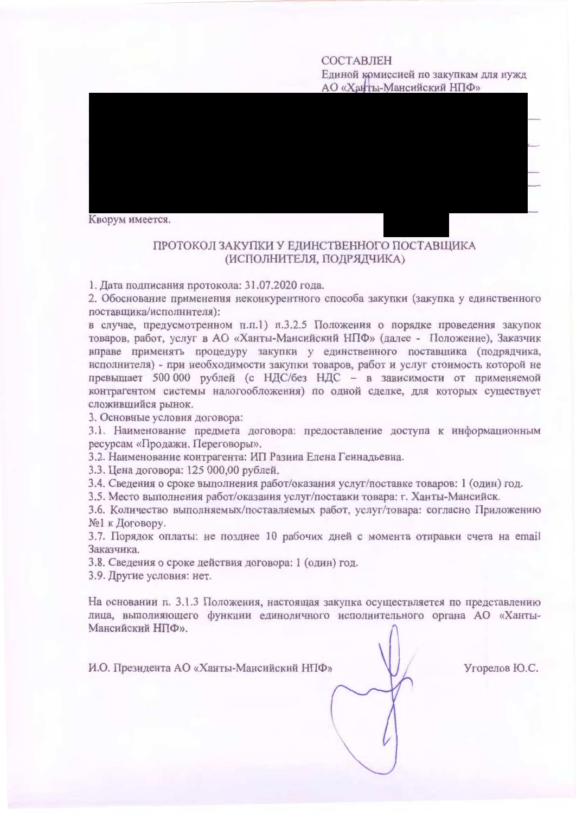### **COCTABJIEH**

Единой комиссией по закупкам для нужд АО «Ханты-Мансийский НПФ»



## ПРОТОКОЛ ЗАКУПКИ У ЕДИНСТВЕННОГО ПОСТАВЩИКА (ИСПОЛНИТЕЛЯ, ПОДРЯДЧИКА)

1. Дата подписания протокола: 31.07.2020 года.

2. Обоснование применения неконкурентного способа закупки (закупка у единственного поставщика/исполнителя):

в случае, предусмотренном п.п.1) п.3.2.5 Положения о порядке проведения закупок товаров, работ, услуг в АО «Ханты-Мансийский НПФ» (далее - Положение), Заказчик вправе применять процедуру закупки у единственного поставщика (подрядчика, исполнителя) - при необходимости закупки товаров, работ и услуг стоимость которой не превышает 500 000 рублей (с НДС/без НДС - в зависимости от применяемой контрагентом системы налогообложения) по одной сделке, для которых существует сложившийся рынок.

3. Основные условия договора:

3.1. Наименование предмета договора: предоставление доступа к информационным ресурсам «Продажи. Переговоры».

3.2. Наименование контрагента: ИП Разина Елена Геннадьевна.

3.3. Цена договора: 125 000,00 рублей.

3.4. Сведения о сроке выполнения работ/оказания услуг/поставке товаров: 1 (один) год.

3.5. Место выполнения работ/оказания услуг/поставки товара: г. Ханты-Мансийск.

3.6. Количество выполняемых/поставляемых работ, услуг/товара: согласно Приложению №1 к Договору.

3.7. Порядок оплаты: не позднее 10 рабочих дней с момента отправки счета на email Заказчика.

3.8. Сведения о сроке действия договора: 1 (один) год.

3.9. Другие условия: нет.

На основании п. 3.1.3 Положения, настоящая закупка осуществляется по представлению лица, выполняющего функции единоличного исполнительного органа АО «Ханты-Мансийский НПФ».

И.О. Президента АО «Ханты-Мансийский НПФ»

Угорелов Ю.С.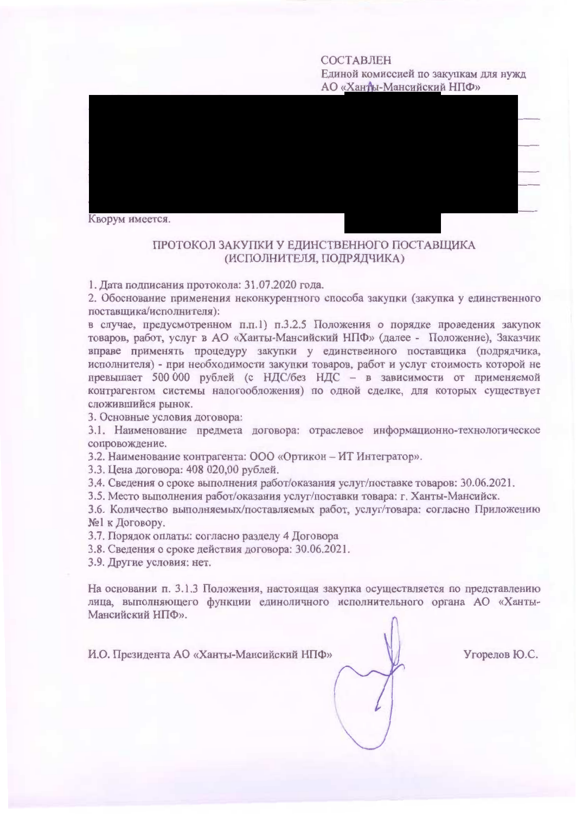COCTARIEH

Единой комиссией по закупкам для нужд АО «Ханты-Мансийский НПФ»



### ПРОТОКОЛ ЗАКУПКИ У ЕЛИНСТВЕННОГО ПОСТАВШИКА (ИСПОЛНИТЕЛЯ, ПОЛРЯЛЧИКА)

1. Дата подписания протокола: 31.07.2020 года.

2. Обоснование применения неконкурентного способа закупки (закупка у единственного поставшика/исполнителя):

в случае, предусмотренном п.п.1) п.3.2.5 Положения о порядке проведения закупок товаров, работ, услуг в АО «Ханты-Мансийский НПФ» (далее - Положение), Заказчик вправе применять процедуру закупки у единственного поставшика (подрядчика, исполнителя) - при необходимости закупки товаров, работ и услуг стоимость которой не превышает 500 000 рублей (с НДС/без НДС - в зависимости от применяемой контрагентом системы налогообложения) по одной сделке, для которых существует сложившийся рынок.

3. Основные условия договора:

3.1. Наименование предмета договора: отраслевое информационно-технологическое сопровождение.

3.2. Наименование контрагента: ООО «Ортикон - ИТ Интегратор».

3.3. Цена договора: 408 020,00 рублей.

3.4. Сведения о сроке выполнения работ/оказания услуг/поставке товаров: 30.06.2021.

3.5. Место выполнения работ/оказания услуг/поставки товара: г. Ханты-Мансийск.

3.6. Количество выполняемых/поставляемых работ, услуг/товара: согласно Приложению №1 к Договору.

3.7. Порядок оплаты: согласно разделу 4 Договора

3.8. Сведения о сроке действия договора: 30.06.2021.

3.9. Другие условия: нет.

На основании п. 3.1.3 Положения, настоящая закупка осуществляется по представлению лица, выполняющего функции единоличного исполнительного органа АО «Ханты-Мансийский НПФ».

И.О. Президента АО «Ханты-Мансийский НПФ»

 $V$ ronegon  $FO$  $C$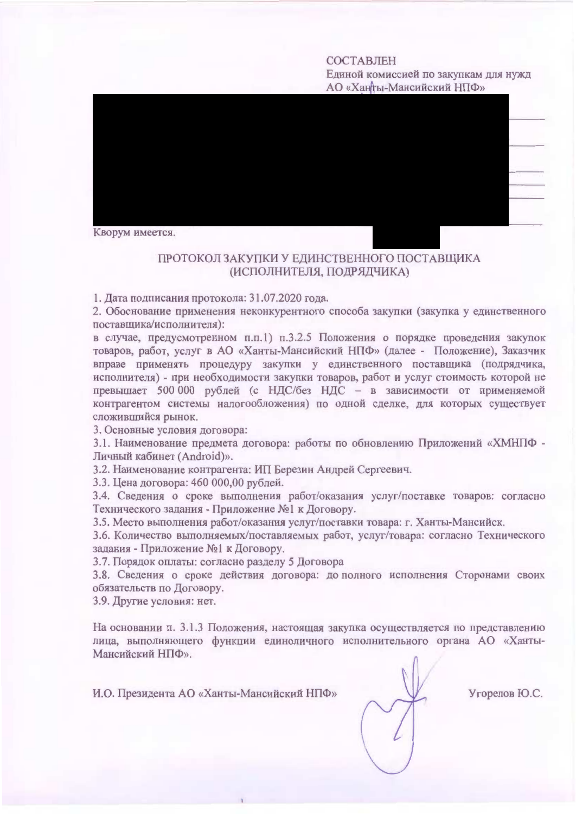#### **COCTARTEH**

Елиной комиссией по закупкам лля нужл АО «Ханты-Мансийский НПФ»



# ПРОТОКОЛ ЗАКУПКИ У ЕЛИНСТВЕННОГО ПОСТАВШИКА (ИСПОЛНИТЕЛЯ, ПОДРЯДЧИКА)

1. Дата подписания протокола: 31.07.2020 года.

2. Обоснование применения неконкурентного способа закупки (закупка у елинственного поставшика/исполнителя):

в случае, предусмотренном п.п.1) п.3.2.5 Положения о порядке проведения закупок товаров, работ, услуг в АО «Ханты-Мансийский НПФ» (далее - Положение), Заказчик вправе применять процедуру закупки у единственного поставщика (подрядчика, исполнителя) - при необходимости закупки товаров, работ и услуг стоимость которой не превышает 500 000 рублей (с НДС/без НДС - в зависимости от применяемой контрагентом системы налогообложения) по олной слелке, для которых существует сложившийся рынок.

3. Основные условия договора:

3.1. Наименование предмета договора: работы по обновлению Приложений «ХМНПФ -Личный кабинет (Android)».

3.2. Наименование контрагента: ИП Березин Андрей Сергеевич.

3.3. Цена договора: 460 000,00 рублей.

3.4. Сведения о сроке выполнения работ/оказания услуг/поставке товаров: согласно Технического задания - Приложение №1 к Логовору.

3.5. Место выполнения работ/оказания услуг/поставки товара: г. Ханты-Мансийск.

3.6. Количество выполняемых/поставляемых работ, услуг/товара: согласно Технического задания - Приложение №1 к Договору.

3.7. Порядок оплаты: согласно разделу 5 Договора

3.8. Сведения о сроке действия договора: до полного исполнения Сторонами своих обязательств по Договору.

3.9. Другие условия: нет.

На основании п. 3.1.3 Положения, настоящая закупка осуществляется по представлению лица, выполняющего функции единоличного исполнительного органа АО «Ханты-Мансийский НПФ».

И.О. Президента АО «Ханты-Мансийский НПФ»

Угорелов Ю.С.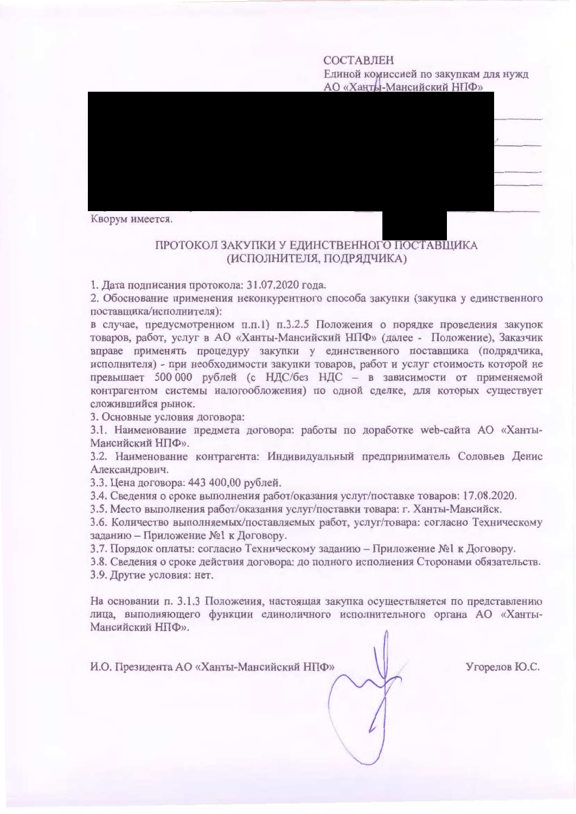### СОСТАВЛЕН

Единой комиссией по закупкам для нужд АО «Ханты-Мансийский НПФ»



### ПРОТОКОЛ ЗАКУПКИ У ЕДИНСТВЕННОГО ПОСТАВЩИКА (ИСПОЛНИТЕЛЯ, ПОДРЯДЧИКА)

1. Дата подписания протокола: 31.07.2020 года.

2. Обоснование применения неконкурентного способа закупки (закупка у единственного поставщика/исполнителя):

в случае, предусмотренном п.п.1) п.3.2.5 Положения о порядке проведения закупок товаров, работ, услуг в АО «Ханты-Мансийский НПФ» (далее - Положение), Заказчик вправе применять процедуру закупки у единственного поставщика (подрядчика, исполнителя) - при необходимости закупки товаров, работ и услуг стоимость которой не превышает 500 000 рублей (с НДС/без НДС - в зависимости от применяемой контрагентом системы налогообложения) по одной сделке, для которых существует сложившийся рынок.

3. Основные условия договора:

3.1. Наименование предмета договора: работы по доработке web-сайта AO «Ханты-Мансийский НПФ».

3.2. Наименование контрагента: Индивидуальный предприниматель Соловьев Денис Александрович.

3.3. Цена договора: 443 400,00 рублей.

3.4. Сведения о сроке выполнения работ/оказания услуг/поставке товаров: 17.08.2020.

3.5. Место выполнения работ/оказания услуг/поставки товара: г. Ханты-Мансийск.

3.6. Количество выполняемых/поставляемых работ, услуг/товара: согласно Техническому заданию - Приложение №1 к Договору.

3.7. Порядок оплаты: согласно Техническому заданию - Приложение №1 к Договору.

3.8. Сведения о сроке действия договора: до полного исполнения Сторонами обязательств. 3.9. Другие условия: нет.

На основании п. 3.1.3 Положения, настоящая закупка осуществляется по представлению лица, выполняющего функции единоличного исполнительного органа АО «Ханты-Мансийский НПФ».

И.О. Президента АО «Ханты-Мансийский НПФ»

Угорелов Ю.С.